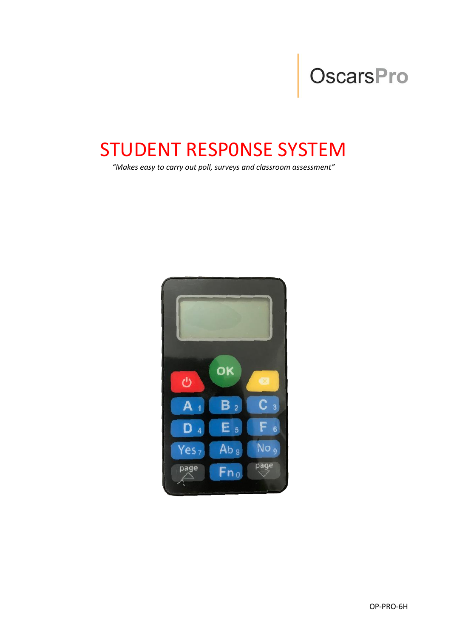# OscarsPro

## STUDENT RESP0NSE SYSTEM

*"Makes easy to carry out poll, surveys and classroom assessment"*